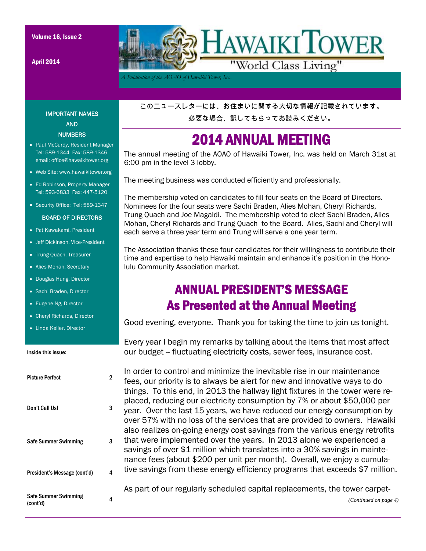April 2014



*A Publication of the AOAO of Hawaiki Tower, Inc..* 

#### IMPORTANT NAMES AND NUMBERS

- Paul McCurdy, Resident Manager Tel: 589-1344 Fax: 589-1346 email: office@hawaikitower.org
- Web Site: www.hawaikitower.org
- Ed Robinson, Property Manager Tel: 593-6833 Fax: 447-5120
- Security Office: Tel: 589-1347

#### BOARD OF DIRECTORS

- Pat Kawakami, President
- Jeff Dickinson, Vice-President
- Trung Quach, Treasurer
- Alies Mohan, Secretary
- Douglas Hung, Director
- Sachi Braden, Director
- Eugene Ng, Director
- Cheryl Richards, Director
- Linda Keller, Director

#### Inside this issue:

# Picture Perfect 2 Don't Call Us! 3 Safe Summer Swimming 3 President's Message (cont'd) 4 Safe Summer Swimming (cont'd) <sup>4</sup>

このニュースレターには、お住まいに関する大切な情報が記載されています。

必要な場合、訳してもらってお読みください。

### 2014 ANNUAL MEETING

The annual meeting of the AOAO of Hawaiki Tower, Inc. was held on March 31st at 6:00 pm in the level 3 lobby.

The meeting business was conducted efficiently and professionally.

The membership voted on candidates to fill four seats on the Board of Directors. Nominees for the four seats were Sachi Braden, Alies Mohan, Cheryl Richards, Trung Quach and Joe Magaldi. The membership voted to elect Sachi Braden, Alies Mohan, Cheryl Richards and Trung Quach to the Board. Alies, Sachi and Cheryl will each serve a three year term and Trung will serve a one year term.

The Association thanks these four candidates for their willingness to contribute their time and expertise to help Hawaiki maintain and enhance it's position in the Honolulu Community Association market.

### ANNUAL PRESIDENT'S MESSAGE As Presented at the Annual Meeting

Good evening, everyone. Thank you for taking the time to join us tonight.

Every year I begin my remarks by talking about the items that most affect our budget -- fluctuating electricity costs, sewer fees, insurance cost.

In order to control and minimize the inevitable rise in our maintenance fees, our priority is to always be alert for new and innovative ways to do things. To this end, in 2013 the hallway light fixtures in the tower were replaced, reducing our electricity consumption by 7% or about \$50,000 per year. Over the last 15 years, we have reduced our energy consumption by over 57% with no loss of the services that are provided to owners. Hawaiki also realizes on-going energy cost savings from the various energy retrofits that were implemented over the years. In 2013 alone we experienced a savings of over \$1 million which translates into a 30% savings in maintenance fees (about \$200 per unit per month). Overall, we enjoy a cumulative savings from these energy efficiency programs that exceeds \$7 million.

As part of our regularly scheduled capital replacements, the tower carpet-

*(Continued on page 4)*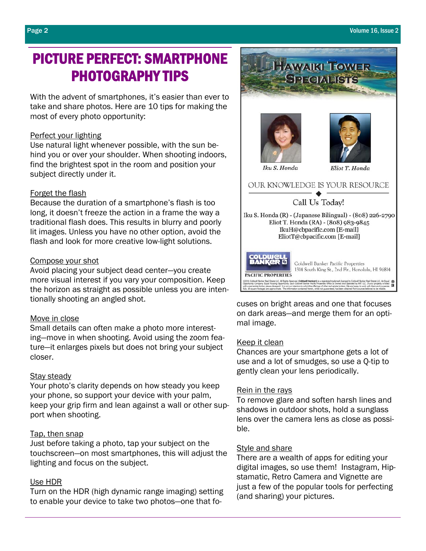### PICTURE PERFECT: SMARTPHONE PHOTOGRAPHY TIPS

With the advent of smartphones, it's easier than ever to take and share photos. Here are 10 tips for making the most of every photo opportunity:

#### Perfect your lighting

Use natural light whenever possible, with the sun behind you or over your shoulder. When shooting indoors, find the brightest spot in the room and position your subject directly under it.

#### Forget the flash

Because the duration of a smartphone's flash is too long, it doesn't freeze the action in a frame the way a traditional flash does. This results in blurry and poorly lit images. Unless you have no other option, avoid the flash and look for more creative low-light solutions.

#### Compose your shot

Avoid placing your subject dead center—you create more visual interest if you vary your composition. Keep the horizon as straight as possible unless you are intentionally shooting an angled shot.

### Move in close

Small details can often make a photo more interesting—move in when shooting. Avoid using the zoom feature—it enlarges pixels but does not bring your subject closer.

### Stay steady

Your photo's clarity depends on how steady you keep your phone, so support your device with your palm, keep your grip firm and lean against a wall or other support when shooting.

### Tap, then snap

Just before taking a photo, tap your subject on the touchscreen—on most smartphones, this will adjust the lighting and focus on the subject.

### Use HDR

Turn on the HDR (high dynamic range imaging) setting to enable your device to take two photos—one that fo-



**HAWAIKI TOWER SPI CIALISTS** 

cuses on bright areas and one that focuses on dark areas—and merge them for an optimal image.

### Keep it clean

Chances are your smartphone gets a lot of use and a lot of smudges, so use a Q-tip to gently clean your lens periodically.

#### Rein in the rays

To remove glare and soften harsh lines and shadows in outdoor shots, hold a sunglass lens over the camera lens as close as possible.

#### Style and share

There are a wealth of apps for editing your digital images, so use them! Instagram, Hipstamatic, Retro Camera and Vignette are just a few of the popular tools for perfecting (and sharing) your pictures.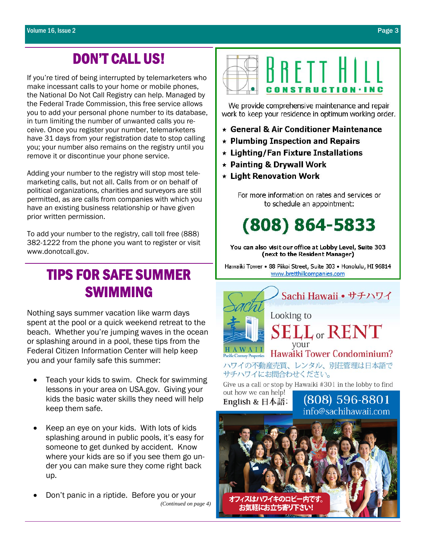### DON'T CALL US!

If you're tired of being interrupted by telemarketers who make incessant calls to your home or mobile phones, the National Do Not Call Registry can help. Managed by the Federal Trade Commission, this free service allows you to add your personal phone number to its database, in turn limiting the number of unwanted calls you receive. Once you register your number, telemarketers have 31 days from your registration date to stop calling you; your number also remains on the registry until you remove it or discontinue your phone service.

Adding your number to the registry will stop most telemarketing calls, but not all. Calls from or on behalf of political organizations, charities and surveyors are still permitted, as are calls from companies with which you have an existing business relationship or have given prior written permission.

To add your number to the registry, call toll free (888) 382-1222 from the phone you want to register or visit www.donotcall.gov.

### TIPS FOR SAFE SUMMER SWIMMING

Nothing says summer vacation like warm days spent at the pool or a quick weekend retreat to the beach. Whether you're jumping waves in the ocean or splashing around in a pool, these tips from the Federal Citizen Information Center will help keep you and your family safe this summer:

- Teach your kids to swim. Check for swimming lessons in your area on USA.gov. Giving your kids the basic water skills they need will help keep them safe.
- Keep an eye on your kids. With lots of kids splashing around in public pools, it's easy for someone to get dunked by accident. Know where your kids are so if you see them go under you can make sure they come right back up.
- Don't panic in a riptide. Before you or your *(Continued on page 4)*



We provide comprehensive maintenance and repair work to keep your residence in optimum working order.

- \* General & Air Conditioner Maintenance
- $\star$  Plumbing Inspection and Repairs
- \* Lighting/Fan Fixture Installations
- \* Painting & Drywall Work
- \* Light Renovation Work

For more information on rates and services or to schedule an appointment:

## $(808) 864 - 5833$

You can also visit our office at Lobby Level, Suite 303 (next to the Resident Manager)

Hawaiki Tower • 88 Piikoi Street, Suite 303 • Honolulu, HI 96814 www.bretthillcompanies.com



English & 日本語:

(808) 596-8801 info@sachihawaji.com